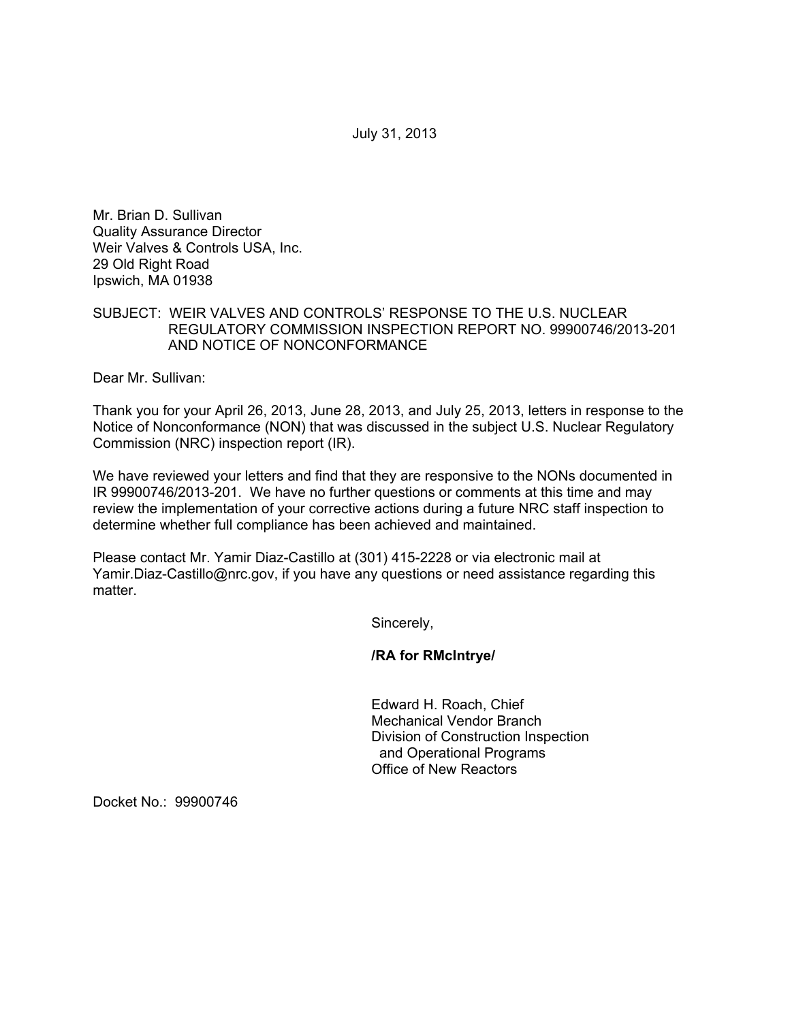July 31, 2013

Mr. Brian D. Sullivan Quality Assurance Director Weir Valves & Controls USA, Inc. 29 Old Right Road Ipswich, MA 01938

# SUBJECT: WEIR VALVES AND CONTROLS' RESPONSE TO THE U.S. NUCLEAR REGULATORY COMMISSION INSPECTION REPORT NO. 99900746/2013-201 AND NOTICE OF NONCONFORMANCE

Dear Mr. Sullivan:

Thank you for your April 26, 2013, June 28, 2013, and July 25, 2013, letters in response to the Notice of Nonconformance (NON) that was discussed in the subject U.S. Nuclear Regulatory Commission (NRC) inspection report (IR).

We have reviewed your letters and find that they are responsive to the NONs documented in IR 99900746/2013-201. We have no further questions or comments at this time and may review the implementation of your corrective actions during a future NRC staff inspection to determine whether full compliance has been achieved and maintained.

Please contact Mr. Yamir Diaz-Castillo at (301) 415-2228 or via electronic mail at Yamir.Diaz-Castillo@nrc.gov, if you have any questions or need assistance regarding this matter.

Sincerely,

**/RA for RMcIntrye/** 

Edward H. Roach, Chief Mechanical Vendor Branch Division of Construction Inspection and Operational Programs Office of New Reactors

Docket No.: 99900746